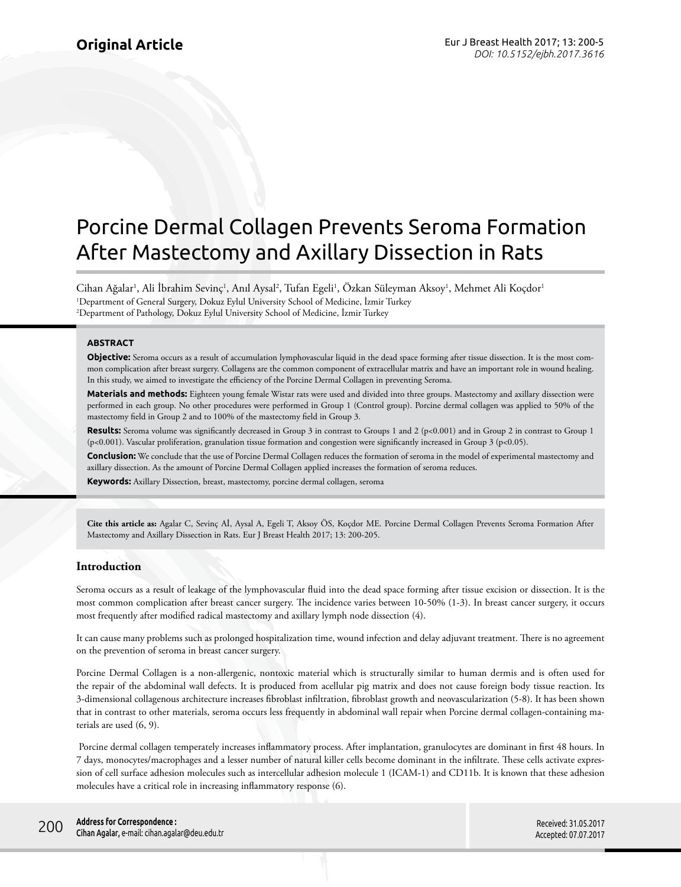# Porcine Dermal Collagen Prevents Seroma Formation After Mastectomy and Axillary Dissection in Rats

Cihan Ağalar<sup>ı</sup>, Ali İbrahim Sevinç<sup>ı</sup>, Anıl Aysal<sup>2</sup>, Tufan Egeli<sup>ı</sup>, Özkan Süleyman Aksoy<sup>ı</sup>, Mehmet Ali Koçdor<sup>ı</sup> 1 Department of General Surgery, Dokuz Eylul University School of Medicine, İzmir Turkey 2 Department of Pathology, Dokuz Eylul University School of Medicine, İzmir Turkey

#### **ABSTRACT**

**Objective:** Seroma occurs as a result of accumulation lymphovascular liquid in the dead space forming after tissue dissection. It is the most common complication after breast surgery. Collagens are the common component of extracellular matrix and have an important role in wound healing. In this study, we aimed to investigate the efficiency of the Porcine Dermal Collagen in preventing Seroma.

**Materials and methods:** Eighteen young female Wistar rats were used and divided into three groups. Mastectomy and axillary dissection were performed in each group. No other procedures were performed in Group 1 (Control group). Porcine dermal collagen was applied to 50% of the mastectomy field in Group 2 and to 100% of the mastectomy field in Group 3.

**Results:** Seroma volume was significantly decreased in Group 3 in contrast to Groups 1 and 2 (p<0.001) and in Group 2 in contrast to Group 1 (p<0.001). Vascular proliferation, granulation tissue formation and congestion were significantly increased in Group 3 (p<0.05).

**Conclusion:** We conclude that the use of Porcine Dermal Collagen reduces the formation of seroma in the model of experimental mastectomy and axillary dissection. As the amount of Porcine Dermal Collagen applied increases the formation of seroma reduces.

**Keywords:** Axillary Dissection, breast, mastectomy, porcine dermal collagen, seroma

**Cite this article as:** Agalar C, Sevinç Aİ, Aysal A, Egeli T, Aksoy ÖS, Koçdor ME. Porcine Dermal Collagen Prevents Seroma Formation After Mastectomy and Axillary Dissection in Rats. Eur J Breast Health 2017; 13: 200-205.

## **Introduction**

Seroma occurs as a result of leakage of the lymphovascular fluid into the dead space forming after tissue excision or dissection. It is the most common complication after breast cancer surgery. The incidence varies between 10-50% (1-3). In breast cancer surgery, it occurs most frequently after modified radical mastectomy and axillary lymph node dissection (4).

It can cause many problems such as prolonged hospitalization time, wound infection and delay adjuvant treatment. There is no agreement on the prevention of seroma in breast cancer surgery.

Porcine Dermal Collagen is a non-allergenic, nontoxic material which is structurally similar to human dermis and is often used for the repair of the abdominal wall defects. It is produced from acellular pig matrix and does not cause foreign body tissue reaction. Its 3-dimensional collagenous architecture increases fibroblast infiltration, fibroblast growth and neovascularization (5-8). It has been shown that in contrast to other materials, seroma occurs less frequently in abdominal wall repair when Porcine dermal collagen-containing materials are used (6, 9).

 Porcine dermal collagen temperately increases inflammatory process. After implantation, granulocytes are dominant in first 48 hours. In 7 days, monocytes/macrophages and a lesser number of natural killer cells become dominant in the infiltrate. These cells activate expression of cell surface adhesion molecules such as intercellular adhesion molecule 1 (ICAM-1) and CD11b. It is known that these adhesion molecules have a critical role in increasing inflammatory response (6).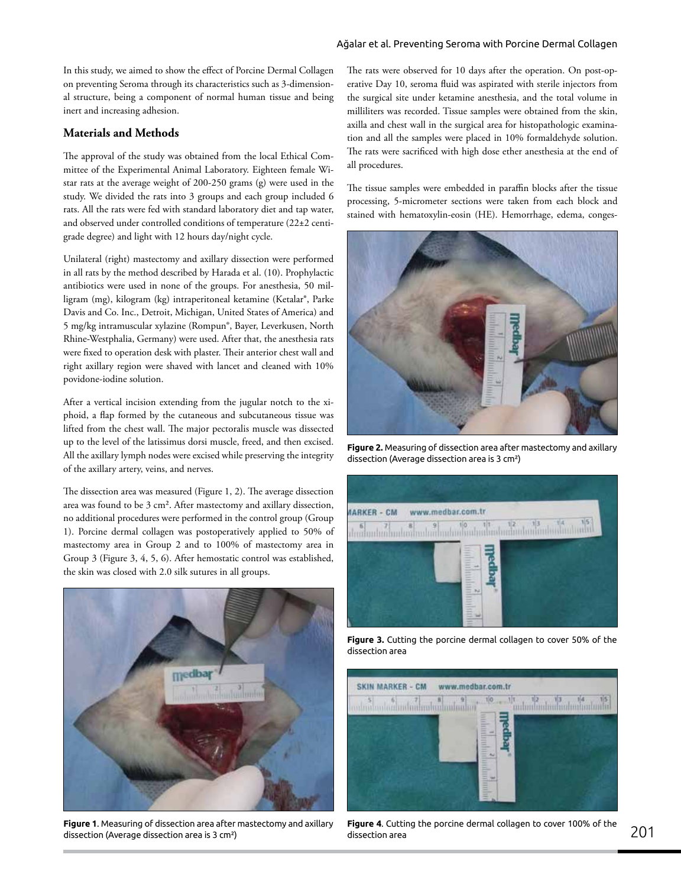In this study, we aimed to show the effect of Porcine Dermal Collagen on preventing Seroma through its characteristics such as 3-dimensional structure, being a component of normal human tissue and being inert and increasing adhesion.

## **Materials and Methods**

The approval of the study was obtained from the local Ethical Committee of the Experimental Animal Laboratory. Eighteen female Wistar rats at the average weight of 200-250 grams (g) were used in the study. We divided the rats into 3 groups and each group included 6 rats. All the rats were fed with standard laboratory diet and tap water, and observed under controlled conditions of temperature (22±2 centigrade degree) and light with 12 hours day/night cycle.

Unilateral (right) mastectomy and axillary dissection were performed in all rats by the method described by Harada et al. (10). Prophylactic antibiotics were used in none of the groups. For anesthesia, 50 milligram (mg), kilogram (kg) intraperitoneal ketamine (Ketalar®, Parke Davis and Co. Inc., Detroit, Michigan, United States of America) and 5 mg/kg intramuscular xylazine (Rompun®, Bayer, Leverkusen, North Rhine-Westphalia, Germany) were used. After that, the anesthesia rats were fixed to operation desk with plaster. Their anterior chest wall and right axillary region were shaved with lancet and cleaned with 10% povidone-iodine solution.

After a vertical incision extending from the jugular notch to the xiphoid, a flap formed by the cutaneous and subcutaneous tissue was lifted from the chest wall. The major pectoralis muscle was dissected up to the level of the latissimus dorsi muscle, freed, and then excised. All the axillary lymph nodes were excised while preserving the integrity of the axillary artery, veins, and nerves.

The dissection area was measured (Figure 1, 2). The average dissection area was found to be 3 cm². After mastectomy and axillary dissection, no additional procedures were performed in the control group (Group 1). Porcine dermal collagen was postoperatively applied to 50% of mastectomy area in Group 2 and to 100% of mastectomy area in Group 3 (Figure 3, 4, 5, 6). After hemostatic control was established, the skin was closed with 2.0 silk sutures in all groups.



**Figure 1**. Measuring of dissection area after mastectomy and axillary dissection (Average dissection area is 3 cm²)

## Ağalar et al. Preventing Seroma with Porcine Dermal Collagen

The rats were observed for 10 days after the operation. On post-operative Day 10, seroma fluid was aspirated with sterile injectors from the surgical site under ketamine anesthesia, and the total volume in milliliters was recorded. Tissue samples were obtained from the skin, axilla and chest wall in the surgical area for histopathologic examination and all the samples were placed in 10% formaldehyde solution. The rats were sacrificed with high dose ether anesthesia at the end of all procedures.

The tissue samples were embedded in paraffin blocks after the tissue processing, 5-micrometer sections were taken from each block and stained with hematoxylin-eosin (HE). Hemorrhage, edema, conges-



**Figure 2.** Measuring of dissection area after mastectomy and axillary dissection (Average dissection area is 3 cm²)



**Figure 3.** Cutting the porcine dermal collagen to cover 50% of the dissection area



**Figure 4**. Cutting the porcine dermal collagen to cover 100% of the dissection area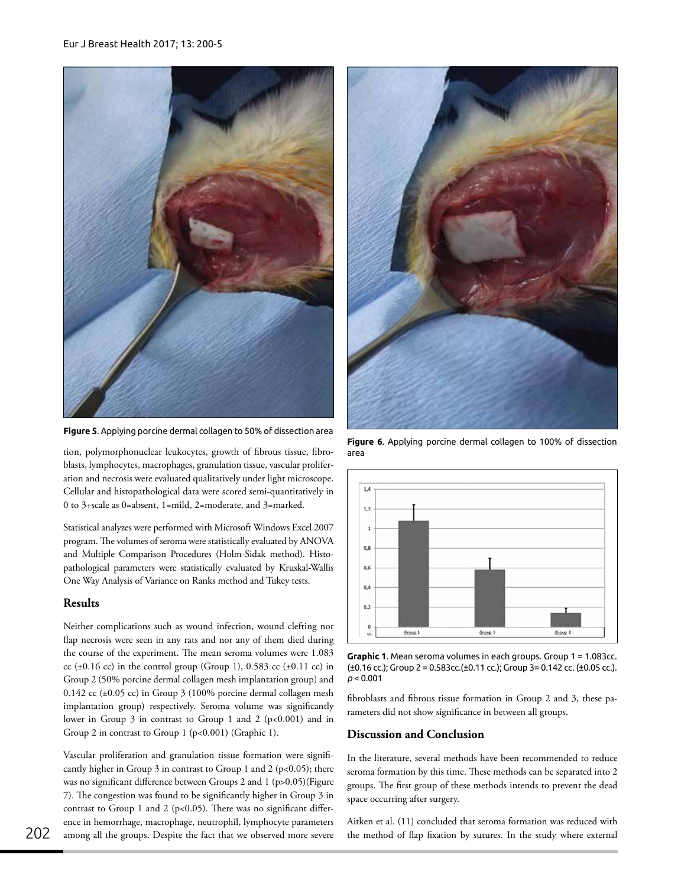

**Figure 5**. Applying porcine dermal collagen to 50% of dissection area

tion, polymorphonuclear leukocytes, growth of fibrous tissue, fibroblasts, lymphocytes, macrophages, granulation tissue, vascular proliferation and necrosis were evaluated qualitatively under light microscope. Cellular and histopathological data were scored semi-quantitatively in 0 to 3+scale as 0=absent, 1=mild, 2=moderate, and 3=marked.

Statistical analyzes were performed with Microsoft Windows Excel 2007 program. The volumes of seroma were statistically evaluated by ANOVA and Multiple Comparison Procedures (Holm-Sidak method). Histopathological parameters were statistically evaluated by Kruskal-Wallis One Way Analysis of Variance on Ranks method and Tukey tests.

## **Results**

Neither complications such as wound infection, wound clefting nor flap necrosis were seen in any rats and nor any of them died during the course of the experiment. The mean seroma volumes were 1.083 cc ( $\pm 0.16$  cc) in the control group (Group 1), 0.583 cc ( $\pm 0.11$  cc) in Group 2 (50% porcine dermal collagen mesh implantation group) and 0.142 cc (±0.05 cc) in Group 3 (100% porcine dermal collagen mesh implantation group) respectively. Seroma volume was significantly lower in Group 3 in contrast to Group 1 and 2 (p<0.001) and in Group 2 in contrast to Group 1 (p<0.001) (Graphic 1).

Vascular proliferation and granulation tissue formation were significantly higher in Group 3 in contrast to Group 1 and 2 ( $p<0.05$ ); there was no significant difference between Groups 2 and 1 (p>0.05)(Figure 7). The congestion was found to be significantly higher in Group 3 in contrast to Group 1 and 2 ( $p<0.05$ ). There was no significant difference in hemorrhage, macrophage, neutrophil, lymphocyte parameters 202 among all the groups. Despite the fact that we observed more severe the method of flap fixation by sutures. In the study where external



**Figure 6**. Applying porcine dermal collagen to 100% of dissection area



**Graphic 1**. Mean seroma volumes in each groups. Group 1 = 1.083cc. (±0.16 cc.); Group 2 = 0.583cc.(±0.11 cc.); Group 3= 0.142 cc. (±0.05 cc.).  $p < 0.001$ 

fibroblasts and fibrous tissue formation in Group 2 and 3, these parameters did not show significance in between all groups.

## **Discussion and Conclusion**

In the literature, several methods have been recommended to reduce seroma formation by this time. These methods can be separated into 2 groups. The first group of these methods intends to prevent the dead space occurring after surgery.

Aitken et al. (11) concluded that seroma formation was reduced with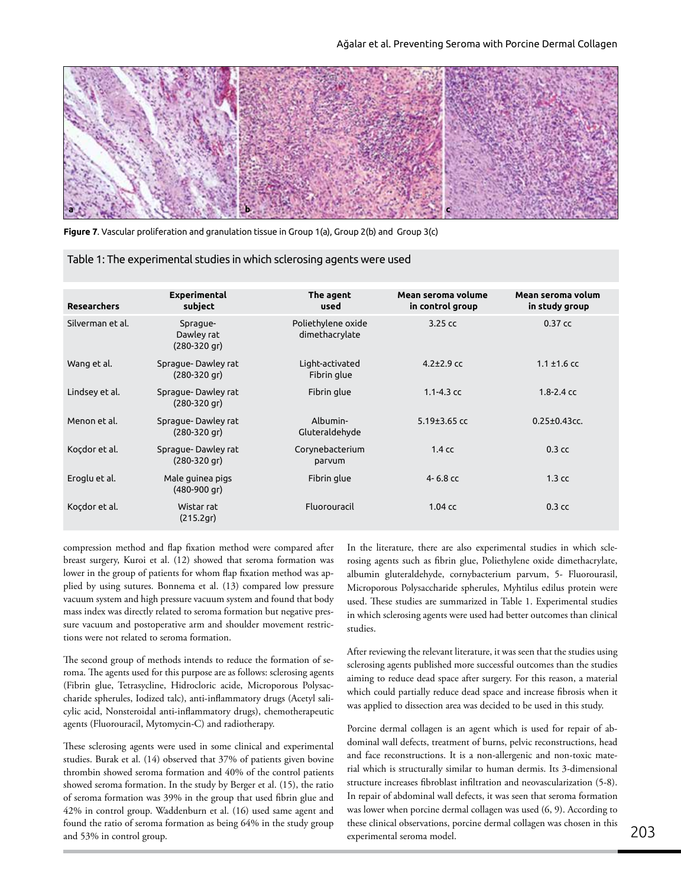

**Figure 7**. Vascular proliferation and granulation tissue in Group 1(a), Group 2(b) and Group 3(c)

| Table 1: The experimental studies in which sclerosing agents were used |  |  |  |  |
|------------------------------------------------------------------------|--|--|--|--|
|                                                                        |  |  |  |  |

| <b>Researchers</b> | <b>Experimental</b><br>subject               | The agent<br>used                    | Mean seroma volume<br>in control group | Mean seroma volum<br>in study group |
|--------------------|----------------------------------------------|--------------------------------------|----------------------------------------|-------------------------------------|
| Silverman et al.   | Sprague-<br>Dawley rat<br>$(280-320)$ qr)    | Poliethylene oxide<br>dimethacrylate | $3.25$ cc                              | $0.37$ cc                           |
| Wang et al.        | Sprague-Dawley rat<br>$(280-320 \text{ gr})$ | Light-activated<br>Fibrin glue       | $4.2 \pm 2.9$ cc                       | $1.1 \pm 1.6$ cc                    |
| Lindsey et al.     | Sprague-Dawley rat<br>$(280-320 \text{ gr})$ | Fibrin glue                          | $1.1 - 4.3$ cc                         | $1.8 - 2.4$ cc                      |
| Menon et al.       | Sprague-Dawley rat<br>$(280-320 \text{ gr})$ | Albumin-<br>Gluteraldehyde           | 5.19 $±3.65$ cc                        | $0.25 \pm 0.43$ cc.                 |
| Koçdor et al.      | Sprague-Dawley rat<br>$(280-320 \text{ gr})$ | Corynebacterium<br>parvum            | 1.4 <sub>cc</sub>                      | $0.3$ cc                            |
| Eroglu et al.      | Male guinea pigs<br>(480-900 gr)             | Fibrin glue                          | $4 - 6.8$ cc                           | 1.3 <sub>cc</sub>                   |
| Koçdor et al.      | Wistar rat<br>(215.2q)                       | Fluorouracil                         | $1.04$ cc                              | 0.3 <sub>cc</sub>                   |

compression method and flap fixation method were compared after breast surgery, Kuroi et al. (12) showed that seroma formation was lower in the group of patients for whom flap fixation method was applied by using sutures. Bonnema et al. (13) compared low pressure vacuum system and high pressure vacuum system and found that body mass index was directly related to seroma formation but negative pressure vacuum and postoperative arm and shoulder movement restrictions were not related to seroma formation.

The second group of methods intends to reduce the formation of seroma. The agents used for this purpose are as follows: sclerosing agents (Fibrin glue, Tetrasycline, Hidrocloric acide, Microporous Polysaccharide spherules, Iodized talc), anti-inflammatory drugs (Acetyl salicylic acid, Nonsteroidal anti-inflammatory drugs), chemotherapeutic agents (Fluorouracil, Mytomycin-C) and radiotherapy.

These sclerosing agents were used in some clinical and experimental studies. Burak et al. (14) observed that 37% of patients given bovine thrombin showed seroma formation and 40% of the control patients showed seroma formation. In the study by Berger et al. (15), the ratio of seroma formation was 39% in the group that used fibrin glue and 42% in control group. Waddenburn et al. (16) used same agent and found the ratio of seroma formation as being 64% in the study group and 53% in control group.

In the literature, there are also experimental studies in which sclerosing agents such as fibrin glue, Poliethylene oxide dimethacrylate, albumin gluteraldehyde, cornybacterium parvum, 5- Fluorourasil, Microporous Polysaccharide spherules, Myhtilus edilus protein were used. These studies are summarized in Table 1. Experimental studies in which sclerosing agents were used had better outcomes than clinical studies.

After reviewing the relevant literature, it was seen that the studies using sclerosing agents published more successful outcomes than the studies aiming to reduce dead space after surgery. For this reason, a material which could partially reduce dead space and increase fibrosis when it was applied to dissection area was decided to be used in this study.

Porcine dermal collagen is an agent which is used for repair of abdominal wall defects, treatment of burns, pelvic reconstructions, head and face reconstructions. It is a non-allergenic and non-toxic material which is structurally similar to human dermis. Its 3-dimensional structure increases fibroblast infiltration and neovascularization (5-8). In repair of abdominal wall defects, it was seen that seroma formation was lower when porcine dermal collagen was used (6, 9). According to these clinical observations, porcine dermal collagen was chosen in this experimental seroma model.<sup>203</sup>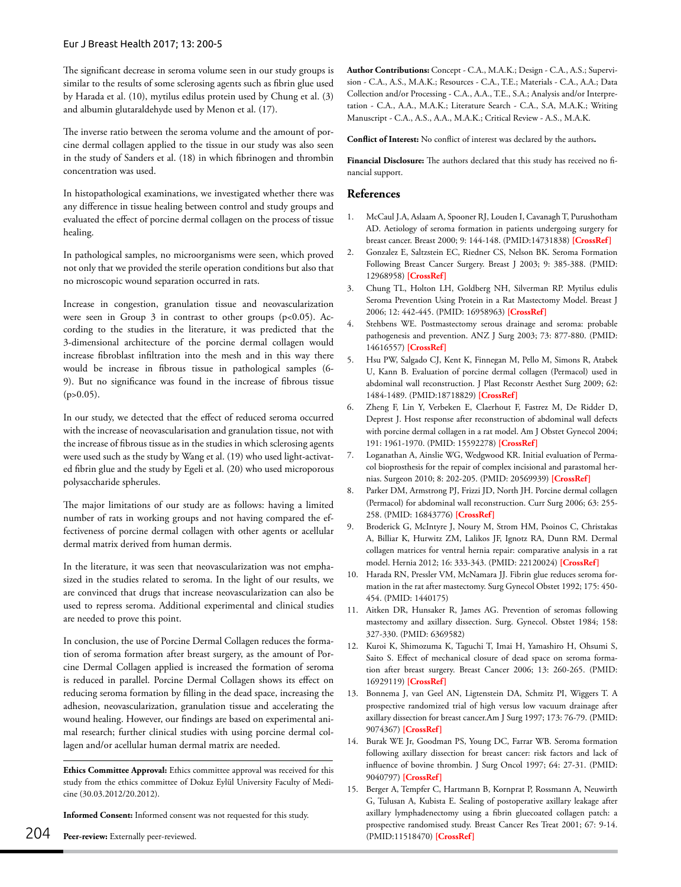#### Eur J Breast Health 2017; 13: 200-5

The significant decrease in seroma volume seen in our study groups is similar to the results of some sclerosing agents such as fibrin glue used by Harada et al. (10), mytilus edilus protein used by Chung et al. (3) and albumin glutaraldehyde used by Menon et al. (17).

The inverse ratio between the seroma volume and the amount of porcine dermal collagen applied to the tissue in our study was also seen in the study of Sanders et al. (18) in which fibrinogen and thrombin concentration was used.

In histopathological examinations, we investigated whether there was any difference in tissue healing between control and study groups and evaluated the effect of porcine dermal collagen on the process of tissue healing.

In pathological samples, no microorganisms were seen, which proved not only that we provided the sterile operation conditions but also that no microscopic wound separation occurred in rats.

Increase in congestion, granulation tissue and neovascularization were seen in Group  $3$  in contrast to other groups ( $p < 0.05$ ). According to the studies in the literature, it was predicted that the 3-dimensional architecture of the porcine dermal collagen would increase fibroblast infiltration into the mesh and in this way there would be increase in fibrous tissue in pathological samples (6- 9). But no significance was found in the increase of fibrous tissue  $(p>0.05)$ .

In our study, we detected that the effect of reduced seroma occurred with the increase of neovascularisation and granulation tissue, not with the increase of fibrous tissue as in the studies in which sclerosing agents were used such as the study by Wang et al. (19) who used light-activated fibrin glue and the study by Egeli et al. (20) who used microporous polysaccharide spherules.

The major limitations of our study are as follows: having a limited number of rats in working groups and not having compared the effectiveness of porcine dermal collagen with other agents or acellular dermal matrix derived from human dermis.

In the literature, it was seen that neovascularization was not emphasized in the studies related to seroma. In the light of our results, we are convinced that drugs that increase neovascularization can also be used to repress seroma. Additional experimental and clinical studies are needed to prove this point.

In conclusion, the use of Porcine Dermal Collagen reduces the formation of seroma formation after breast surgery, as the amount of Porcine Dermal Collagen applied is increased the formation of seroma is reduced in parallel. Porcine Dermal Collagen shows its effect on reducing seroma formation by filling in the dead space, increasing the adhesion, neovascularization, granulation tissue and accelerating the wound healing. However, our findings are based on experimental animal research; further clinical studies with using porcine dermal collagen and/or acellular human dermal matrix are needed.

**Ethics Committee Approval:** Ethics committee approval was received for this study from the ethics committee of Dokuz Eylül University Faculty of Medicine (30.03.2012/20.2012).

**Informed Consent:** Informed consent was not requested for this study.

**Author Contributions:** Concept - C.A., M.A.K.; Design - C.A., A.S.; Supervision - C.A., A.S., M.A.K.; Resources - C.A., T.E.; Materials - C.A., A.A.; Data Collection and/or Processing - C.A., A.A., T.E., S.A.; Analysis and/or Interpretation - C.A., A.A., M.A.K.; Literature Search - C.A., S.A, M.A.K.; Writing Manuscript - C.A., A.S., A.A., M.A.K.; Critical Review - A.S., M.A.K.

**Conflict of Interest:** No conflict of interest was declared by the authors**.**

**Financial Disclosure:** The authors declared that this study has received no financial support.

#### **References**

- 1. McCaul J.A, Aslaam A, Spooner RJ, Louden I, Cavanagh T, Purushotham AD. Aetiology of seroma formation in patients undergoing surgery for breast cancer. Breast 2000; 9: 144-148. (PMID:14731838) **[\[CrossRef\]](https://doi.org/10.1054/brst.1999.0126)**
- 2. Gonzalez E, Saltzstein EC, Riedner CS, Nelson BK. Seroma Formation Following Breast Cancer Surgery. Breast J 2003; 9: 385-388. (PMID: 12968958) **[\[CrossRef\]](https://doi.org/10.1046/j.1524-4741.2003.09504.x)**
- 3. Chung TL, Holton LH, Goldberg NH, Silverman RP. Mytilus edulis Seroma Prevention Using Protein in a Rat Mastectomy Model. Breast J 2006; 12: 442-445. (PMID: 16958963) **[\[CrossRef\]](https://doi.org/10.1111/j.1075-122X.2006.00300.x)**
- Stehbens WE. Postmastectomy serous drainage and seroma: probable pathogenesis and prevention. ANZ J Surg 2003; 73: 877-880. (PMID: 14616557) **[\[CrossRef\]](https://doi.org/10.1046/j.1445-2197.2003.02832.x)**
- 5. Hsu PW, Salgado CJ, Kent K, Finnegan M, Pello M, Simons R, Atabek U, Kann B. Evaluation of porcine dermal collagen (Permacol) used in abdominal wall reconstruction. J Plast Reconstr Aesthet Surg 2009; 62: 1484-1489. (PMID:18718829) **[\[CrossRef\]](https://doi.org/10.1016/j.bjps.2008.04.060)**
- 6. Zheng F, Lin Y, Verbeken E, Claerhout F, Fastrez M, De Ridder D, Deprest J. Host response after reconstruction of abdominal wall defects with porcine dermal collagen in a rat model. Am J Obstet Gynecol 2004; 191: 1961-1970. (PMID: 15592278) **[\[CrossRef\]](https://doi.org/10.1016/j.ajog.2004.01.091)**
- 7. Loganathan A, Ainslie WG, Wedgwood KR. Initial evaluation of Permacol bioprosthesis for the repair of complex incisional and parastomal hernias. Surgeon 2010; 8: 202-205. (PMID: 20569939) **[\[CrossRef\]](https://doi.org/10.1016/j.surge.2009.11.002)**
- 8. Parker DM, Armstrong PJ, Frizzi JD, North JH. Porcine dermal collagen (Permacol) for abdominal wall reconstruction. Curr Surg 2006; 63: 255- 258. (PMID: 16843776) **[\[CrossRef\]](https://doi.org/10.1016/j.cursur.2006.05.003)**
- 9. Broderick G, McIntyre J, Noury M, Strom HM, Psoinos C, Christakas A, Billiar K, Hurwitz ZM, Lalikos JF, Ignotz RA, Dunn RM. Dermal collagen matrices for ventral hernia repair: comparative analysis in a rat model. Hernia 2012; 16: 333-343. (PMID: 22120024) **[\[CrossRef\]](https://doi.org/10.1007/s10029-011-0891-0)**
- 10. Harada RN, Pressler VM, McNamara JJ. Fibrin glue reduces seroma formation in the rat after mastectomy. Surg Gynecol Obstet 1992; 175: 450- 454. (PMID: 1440175)
- 11. Aitken DR, Hunsaker R, James AG. Prevention of seromas following mastectomy and axillary dissection. Surg. Gynecol. Obstet 1984; 158: 327-330. (PMID: 6369582)
- 12. Kuroi K, Shimozuma K, Taguchi T, Imai H, Yamashiro H, Ohsumi S, Saito S. Effect of mechanical closure of dead space on seroma formation after breast surgery. Breast Cancer 2006; 13: 260-265. (PMID: 16929119) **[\[CrossRef\]](https://doi.org/10.2325/jbcs.13.260)**
- 13. Bonnema J, van Geel AN, Ligtenstein DA, Schmitz PI, Wiggers T. A prospective randomized trial of high versus low vacuum drainage after axillary dissection for breast cancer.Am J Surg 1997; 173: 76-79. (PMID: 9074367) **[\[CrossRef\]](https://doi.org/10.1016/S0002-9610(96)00416-3)**
- 14. Burak WE Jr, Goodman PS, Young DC, Farrar WB. Seroma formation following axillary dissection for breast cancer: risk factors and lack of influence of bovine thrombin. J Surg Oncol 1997; 64: 27-31. (PMID: 9040797) **[\[CrossRef\]](https://doi.org/10.1002/(SICI)1096-9098(199701)64:1<27::AID-JSO6>3.0.CO;2-R)**
- **Peer-review:** Externally peer-reviewed. 204 (PMID:11518470) **[\[CrossRef\]](https://doi.org/10.1023/A:1010671209279)** 15. Berger A, Tempfer C, Hartmann B, Kornprat P, Rossmann A, Neuwirth G, Tulusan A, Kubista E. Sealing of postoperative axillary leakage after axillary lymphadenectomy using a fibrin gluecoated collagen patch: a prospective randomised study. Breast Cancer Res Treat 2001; 67: 9-14.